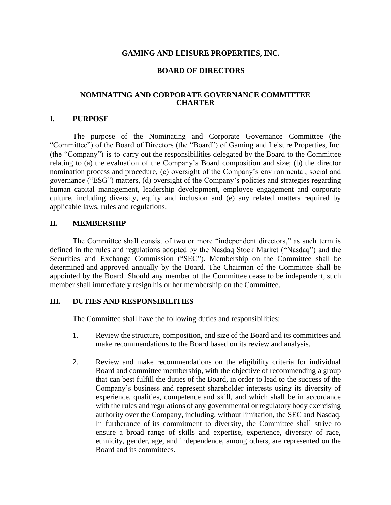### **GAMING AND LEISURE PROPERTIES, INC.**

### **BOARD OF DIRECTORS**

### **NOMINATING AND CORPORATE GOVERNANCE COMMITTEE CHARTER**

#### **I. PURPOSE**

The purpose of the Nominating and Corporate Governance Committee (the "Committee") of the Board of Directors (the "Board") of Gaming and Leisure Properties, Inc. (the "Company") is to carry out the responsibilities delegated by the Board to the Committee relating to (a) the evaluation of the Company's Board composition and size; (b) the director nomination process and procedure, (c) oversight of the Company's environmental, social and governance ("ESG") matters, (d) oversight of the Company's policies and strategies regarding human capital management, leadership development, employee engagement and corporate culture, including diversity, equity and inclusion and (e) any related matters required by applicable laws, rules and regulations.

### **II. MEMBERSHIP**

The Committee shall consist of two or more "independent directors," as such term is defined in the rules and regulations adopted by the Nasdaq Stock Market ("Nasdaq") and the Securities and Exchange Commission ("SEC"). Membership on the Committee shall be determined and approved annually by the Board. The Chairman of the Committee shall be appointed by the Board. Should any member of the Committee cease to be independent, such member shall immediately resign his or her membership on the Committee.

#### **III. DUTIES AND RESPONSIBILITIES**

The Committee shall have the following duties and responsibilities:

- 1. Review the structure, composition, and size of the Board and its committees and make recommendations to the Board based on its review and analysis.
- 2. Review and make recommendations on the eligibility criteria for individual Board and committee membership, with the objective of recommending a group that can best fulfill the duties of the Board, in order to lead to the success of the Company's business and represent shareholder interests using its diversity of experience, qualities, competence and skill, and which shall be in accordance with the rules and regulations of any governmental or regulatory body exercising authority over the Company, including, without limitation, the SEC and Nasdaq. In furtherance of its commitment to diversity, the Committee shall strive to ensure a broad range of skills and expertise, experience, diversity of race, ethnicity, gender, age, and independence, among others, are represented on the Board and its committees.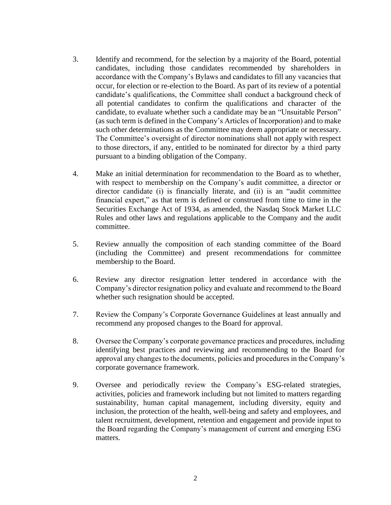- 3. Identify and recommend, for the selection by a majority of the Board, potential candidates, including those candidates recommended by shareholders in accordance with the Company's Bylaws and candidates to fill any vacancies that occur, for election or re-election to the Board. As part of its review of a potential candidate's qualifications, the Committee shall conduct a background check of all potential candidates to confirm the qualifications and character of the candidate, to evaluate whether such a candidate may be an "Unsuitable Person" (as such term is defined in the Company's Articles of Incorporation) and to make such other determinations as the Committee may deem appropriate or necessary. The Committee's oversight of director nominations shall not apply with respect to those directors, if any, entitled to be nominated for director by a third party pursuant to a binding obligation of the Company.
- 4. Make an initial determination for recommendation to the Board as to whether, with respect to membership on the Company's audit committee, a director or director candidate (i) is financially literate, and (ii) is an "audit committee financial expert," as that term is defined or construed from time to time in the Securities Exchange Act of 1934, as amended, the Nasdaq Stock Market LLC Rules and other laws and regulations applicable to the Company and the audit committee.
- 5. Review annually the composition of each standing committee of the Board (including the Committee) and present recommendations for committee membership to the Board.
- 6. Review any director resignation letter tendered in accordance with the Company's director resignation policy and evaluate and recommend to the Board whether such resignation should be accepted.
- 7. Review the Company's Corporate Governance Guidelines at least annually and recommend any proposed changes to the Board for approval.
- 8. Oversee the Company's corporate governance practices and procedures, including identifying best practices and reviewing and recommending to the Board for approval any changes to the documents, policies and procedures in the Company's corporate governance framework.
- 9. Oversee and periodically review the Company's ESG-related strategies, activities, policies and framework including but not limited to matters regarding sustainability, human capital management, including diversity, equity and inclusion, the protection of the health, well-being and safety and employees, and talent recruitment, development, retention and engagement and provide input to the Board regarding the Company's management of current and emerging ESG matters.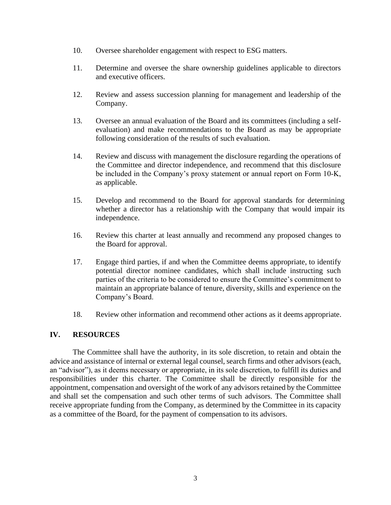- 10. Oversee shareholder engagement with respect to ESG matters.
- 11. Determine and oversee the share ownership guidelines applicable to directors and executive officers.
- 12. Review and assess succession planning for management and leadership of the Company.
- 13. Oversee an annual evaluation of the Board and its committees (including a selfevaluation) and make recommendations to the Board as may be appropriate following consideration of the results of such evaluation.
- 14. Review and discuss with management the disclosure regarding the operations of the Committee and director independence, and recommend that this disclosure be included in the Company's proxy statement or annual report on Form 10-K, as applicable.
- 15. Develop and recommend to the Board for approval standards for determining whether a director has a relationship with the Company that would impair its independence.
- 16. Review this charter at least annually and recommend any proposed changes to the Board for approval.
- 17. Engage third parties, if and when the Committee deems appropriate, to identify potential director nominee candidates, which shall include instructing such parties of the criteria to be considered to ensure the Committee's commitment to maintain an appropriate balance of tenure, diversity, skills and experience on the Company's Board.
- 18. Review other information and recommend other actions as it deems appropriate.

# **IV. RESOURCES**

The Committee shall have the authority, in its sole discretion, to retain and obtain the advice and assistance of internal or external legal counsel, search firms and other advisors (each, an "advisor"), as it deems necessary or appropriate, in its sole discretion, to fulfill its duties and responsibilities under this charter. The Committee shall be directly responsible for the appointment, compensation and oversight of the work of any advisors retained by the Committee and shall set the compensation and such other terms of such advisors. The Committee shall receive appropriate funding from the Company, as determined by the Committee in its capacity as a committee of the Board, for the payment of compensation to its advisors.